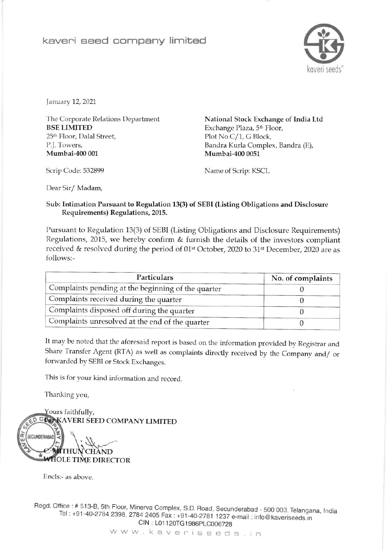## kaveri seed company limited



January 12, 2021

The Corporate Relations Department **BSE LIMITED** 25<sup>th</sup> Floor, Dalal Street, P.J. Towers, Mumbai-400 001

National Stock Exchange of India Ltd Exchange Plaza, 5<sup>th</sup> Floor, Plot No.C/1, G Block, Bandra Kurla Complex, Bandra (E), Mumbai-400 0051

Scrip Code: 532899

Name of Scrip: KSCL

Dear Sir/Madam,

## Sub: Intimation Pursuant to Regulation 13(3) of SEBI (Listing Obligations and Disclosure Requirements) Regulations, 2015.

Pursuant to Regulation 13(3) of SEBI (Listing Obligations and Disclosure Requirements) Regulations, 2015, we hereby confirm & furnish the details of the investors compliant received & resolved during the period of 01<sup>st</sup> October, 2020 to 31<sup>st</sup> December, 2020 are as follows:-

| Particulars                                        | No. of complaints |  |
|----------------------------------------------------|-------------------|--|
| Complaints pending at the beginning of the quarter |                   |  |
| Complaints received during the quarter             |                   |  |
| Complaints disposed off during the quarter         |                   |  |
| Complaints unresolved at the end of the quarter    |                   |  |

It may be noted that the aforesaid report is based on the information provided by Registrar and Share Transfer Agent (RTA) as well as complaints directly received by the Company and/ or forwarded by SEBI or Stock Exchanges.

This is for your kind information and record.

Thanking you,



Encls:- as above.

Regd. Office: # 513-B, 5th Floor, Minerva Complex, S.D. Road, Secunderabad - 500 003. Telangana, India Tel: +91-40-2784 2398, 2784 2405 Fax: +91-40-2781 1237 e-mail: info@kaveriseeds.in CIN: L01120TG1986PLC006728